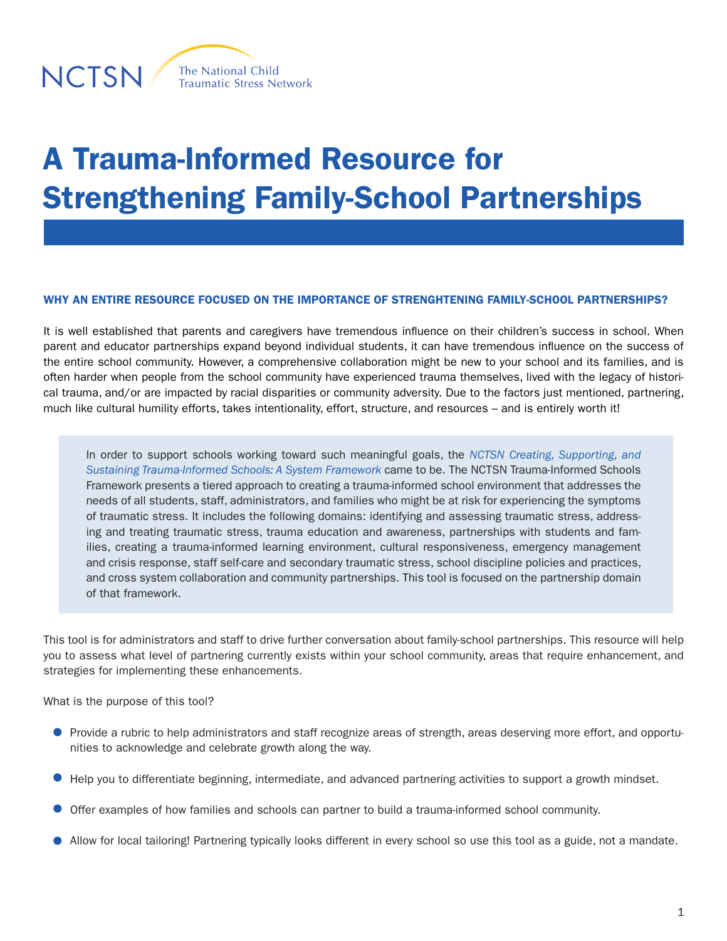

The National Child **Traumatic Stress Network** 

# A Trauma-Informed Resource for Strengthening Family-School Partnerships

## WHY AN ENTIRE RESOURCE FOCUSED ON THE IMPORTANCE OF STRENGHTENING FAMILY-SCHOOL PARTNERSHIPS?

It is well established that parents and caregivers have tremendous influence on their children's success in school. When parent and educator partnerships expand beyond individual students, it can have tremendous influence on the success of the entire school community. However, a comprehensive collaboration might be new to your school and its families, and is often harder when people from the school community have experienced trauma themselves, lived with the legacy of historical trauma, and/or are impacted by racial disparities or community adversity. Due to the factors just mentioned, partnering, much like cultural humility efforts, takes intentionality, effort, structure, and resources – and is entirely worth it!

In order to support schools working toward such meaningful goals, the *[NCTSN Creating, Supporting, and](https://www.nctsn.org/resources/creating-supporting-and-sustaining-trauma-informed-schools-system-framework)  [Sustaining Trauma-Informed Schools: A System Framework](https://www.nctsn.org/resources/creating-supporting-and-sustaining-trauma-informed-schools-system-framework)* came to be. The NCTSN Trauma-Informed Schools Framework presents a tiered approach to creating a trauma-informed school environment that addresses the needs of all students, staff, administrators, and families who might be at risk for experiencing the symptoms of traumatic stress. It includes the following domains: identifying and assessing traumatic stress, addressing and treating traumatic stress, trauma education and awareness, partnerships with students and families, creating a trauma-informed learning environment, cultural responsiveness, emergency management and crisis response, staff self-care and secondary traumatic stress, school discipline policies and practices, and cross system collaboration and community partnerships. This tool is focused on the partnership domain of that framework.

This tool is for administrators and staff to drive further conversation about family-school partnerships. This resource will help you to assess what level of partnering currently exists within your school community, areas that require enhancement, and strategies for implementing these enhancements.

What is the purpose of this tool?

- **P** Provide a rubric to help administrators and staff recognize areas of strength, areas deserving more effort, and opportunities to acknowledge and celebrate growth along the way.
- Help you to differentiate beginning, intermediate, and advanced partnering activities to support a growth mindset.
- Offer examples of how families and schools can partner to build a trauma-informed school community.
- Allow for local tailoring! Partnering typically looks different in every school so use this tool as a guide, not a mandate.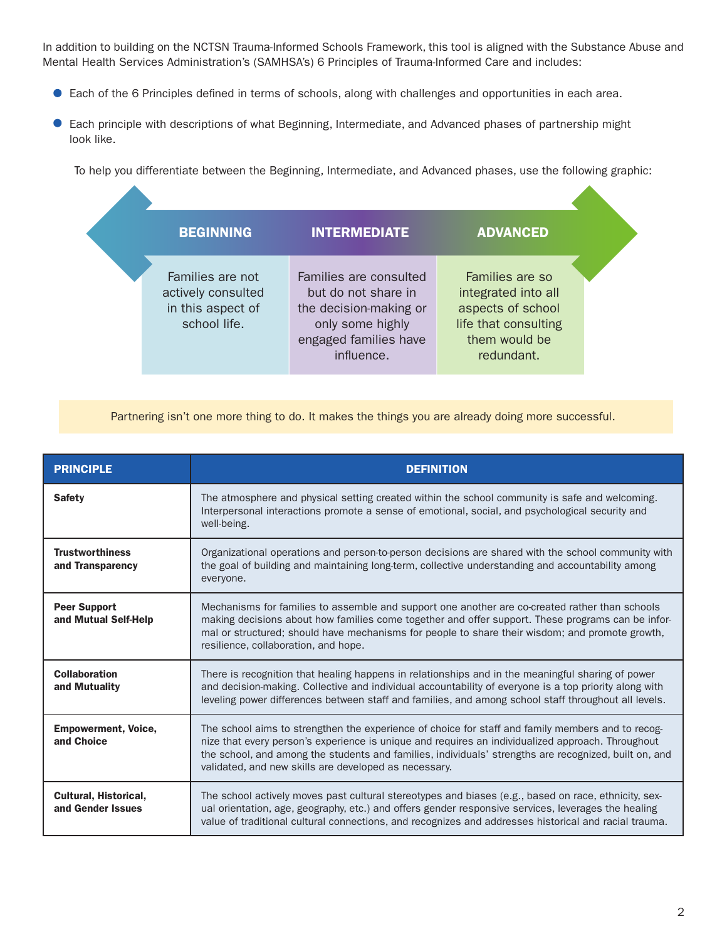In addition to building on the NCTSN Trauma-Informed Schools Framework, this tool is aligned with the Substance Abuse and Mental Health Services Administration's (SAMHSA's) 6 Principles of Trauma-Informed Care and includes:

- Each of the 6 Principles defined in terms of schools, along with challenges and opportunities in each area.
- $\bullet$ Each principle with descriptions of what Beginning, Intermediate, and Advanced phases of partnership might look like.

To help you differentiate between the Beginning, Intermediate, and Advanced phases, use the following graphic:

| <b>BEGINNING</b>                                                            | <b>INTERMEDIATE</b>                                                                                                                | <b>ADVANCED</b>                                                                                                    |
|-----------------------------------------------------------------------------|------------------------------------------------------------------------------------------------------------------------------------|--------------------------------------------------------------------------------------------------------------------|
| Families are not<br>actively consulted<br>in this aspect of<br>school life. | Families are consulted<br>but do not share in<br>the decision-making or<br>only some highly<br>engaged families have<br>influence. | Families are so<br>integrated into all<br>aspects of school<br>life that consulting<br>them would be<br>redundant. |

Partnering isn't one more thing to do. It makes the things you are already doing more successful.

| <b>PRINCIPLE</b>                                  | <b>DEFINITION</b>                                                                                                                                                                                                                                                                                                                                                        |
|---------------------------------------------------|--------------------------------------------------------------------------------------------------------------------------------------------------------------------------------------------------------------------------------------------------------------------------------------------------------------------------------------------------------------------------|
| <b>Safety</b>                                     | The atmosphere and physical setting created within the school community is safe and welcoming.<br>Interpersonal interactions promote a sense of emotional, social, and psychological security and<br>well-being.                                                                                                                                                         |
| <b>Trustworthiness</b><br>and Transparency        | Organizational operations and person-to-person decisions are shared with the school community with<br>the goal of building and maintaining long-term, collective understanding and accountability among<br>everyone.                                                                                                                                                     |
| <b>Peer Support</b><br>and Mutual Self-Help       | Mechanisms for families to assemble and support one another are co-created rather than schools<br>making decisions about how families come together and offer support. These programs can be infor-<br>mal or structured; should have mechanisms for people to share their wisdom; and promote growth,<br>resilience, collaboration, and hope.                           |
| <b>Collaboration</b><br>and Mutuality             | There is recognition that healing happens in relationships and in the meaningful sharing of power<br>and decision-making. Collective and individual accountability of everyone is a top priority along with<br>leveling power differences between staff and families, and among school staff throughout all levels.                                                      |
| <b>Empowerment, Voice,</b><br>and Choice          | The school aims to strengthen the experience of choice for staff and family members and to recog-<br>nize that every person's experience is unique and requires an individualized approach. Throughout<br>the school, and among the students and families, individuals' strengths are recognized, built on, and<br>validated, and new skills are developed as necessary. |
| <b>Cultural, Historical,</b><br>and Gender Issues | The school actively moves past cultural stereotypes and biases (e.g., based on race, ethnicity, sex-<br>ual orientation, age, geography, etc.) and offers gender responsive services, leverages the healing<br>value of traditional cultural connections, and recognizes and addresses historical and racial trauma.                                                     |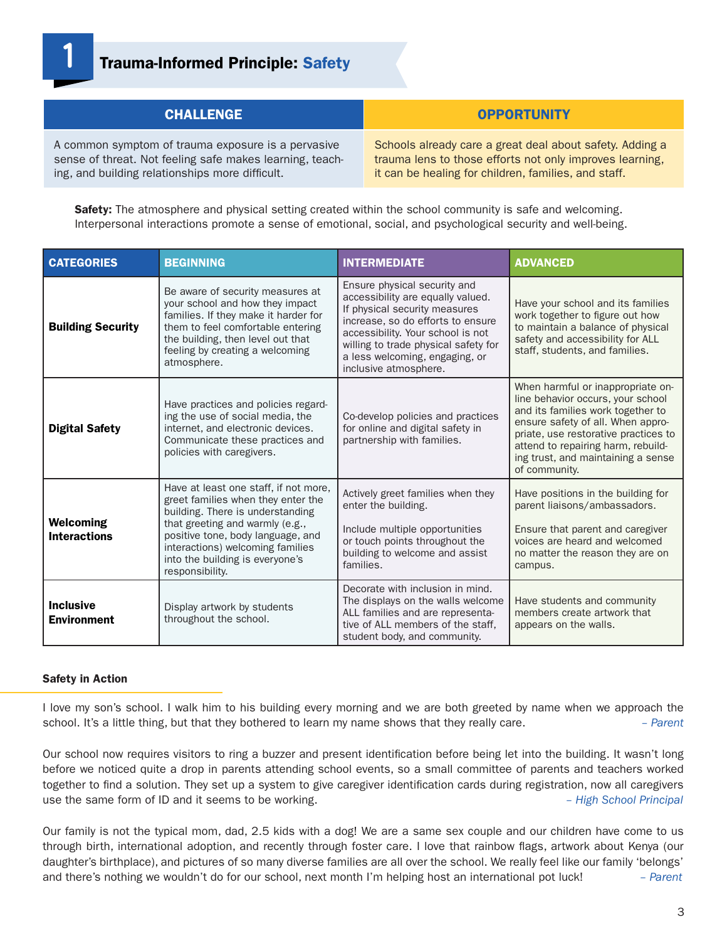

# **1** Trauma-Informed Principle: Safety

| <b>CHALLENGE</b>                                         | <b>OPPORTUNITY</b>                                       |
|----------------------------------------------------------|----------------------------------------------------------|
| A common symptom of trauma exposure is a pervasive       | Schools already care a great deal about safety. Adding a |
| sense of threat. Not feeling safe makes learning, teach- | trauma lens to those efforts not only improves learning, |
| ing, and building relationships more difficult.          | it can be healing for children, families, and staff.     |

Safety: The atmosphere and physical setting created within the school community is safe and welcoming. Interpersonal interactions promote a sense of emotional, social, and psychological security and well-being.

| <b>CATEGORIES</b>                       | <b>BEGINNING</b>                                                                                                                                                                                                                                                                  | <b>INTERMEDIATE</b>                                                                                                                                                                                                                                                             | <b>ADVANCED</b>                                                                                                                                                                                                                                                                       |
|-----------------------------------------|-----------------------------------------------------------------------------------------------------------------------------------------------------------------------------------------------------------------------------------------------------------------------------------|---------------------------------------------------------------------------------------------------------------------------------------------------------------------------------------------------------------------------------------------------------------------------------|---------------------------------------------------------------------------------------------------------------------------------------------------------------------------------------------------------------------------------------------------------------------------------------|
| <b>Building Security</b>                | Be aware of security measures at<br>your school and how they impact<br>families. If they make it harder for<br>them to feel comfortable entering<br>the building, then level out that<br>feeling by creating a welcoming<br>atmosphere.                                           | Ensure physical security and<br>accessibility are equally valued.<br>If physical security measures<br>increase, so do efforts to ensure<br>accessibility. Your school is not<br>willing to trade physical safety for<br>a less welcoming, engaging, or<br>inclusive atmosphere. | Have your school and its families<br>work together to figure out how<br>to maintain a balance of physical<br>safety and accessibility for ALL<br>staff, students, and families.                                                                                                       |
| <b>Digital Safety</b>                   | Have practices and policies regard-<br>ing the use of social media, the<br>internet, and electronic devices.<br>Communicate these practices and<br>policies with caregivers.                                                                                                      | Co-develop policies and practices<br>for online and digital safety in<br>partnership with families.                                                                                                                                                                             | When harmful or inappropriate on-<br>line behavior occurs, your school<br>and its families work together to<br>ensure safety of all. When appro-<br>priate, use restorative practices to<br>attend to repairing harm, rebuild-<br>ing trust, and maintaining a sense<br>of community. |
| <b>Welcoming</b><br><b>Interactions</b> | Have at least one staff, if not more,<br>greet families when they enter the<br>building. There is understanding<br>that greeting and warmly (e.g.,<br>positive tone, body language, and<br>interactions) welcoming families<br>into the building is everyone's<br>responsibility. | Actively greet families when they<br>enter the building.<br>Include multiple opportunities<br>or touch points throughout the<br>building to welcome and assist<br>families.                                                                                                     | Have positions in the building for<br>parent liaisons/ambassadors.<br>Ensure that parent and caregiver<br>voices are heard and welcomed<br>no matter the reason they are on<br>campus.                                                                                                |
| <b>Inclusive</b><br><b>Environment</b>  | Display artwork by students<br>throughout the school.                                                                                                                                                                                                                             | Decorate with inclusion in mind.<br>The displays on the walls welcome<br>ALL families and are representa-<br>tive of ALL members of the staff,<br>student body, and community.                                                                                                  | Have students and community<br>members create artwork that<br>appears on the walls.                                                                                                                                                                                                   |

#### Safety in Action

I love my son's school. I walk him to his building every morning and we are both greeted by name when we approach the school. It's a little thing, but that they bothered to learn my name shows that they really care. *– Parent*

Our school now requires visitors to ring a buzzer and present identification before being let into the building. It wasn't long before we noticed quite a drop in parents attending school events, so a small committee of parents and teachers worked together to find a solution. They set up a system to give caregiver identification cards during registration, now all caregivers use the same form of ID and it seems to be working. *– High School Principal*

Our family is not the typical mom, dad, 2.5 kids with a dog! We are a same sex couple and our children have come to us through birth, international adoption, and recently through foster care. I love that rainbow flags, artwork about Kenya (our daughter's birthplace), and pictures of so many diverse families are all over the school. We really feel like our family 'belongs' and there's nothing we wouldn't do for our school, next month I'm helping host an international pot luck! *– Parent*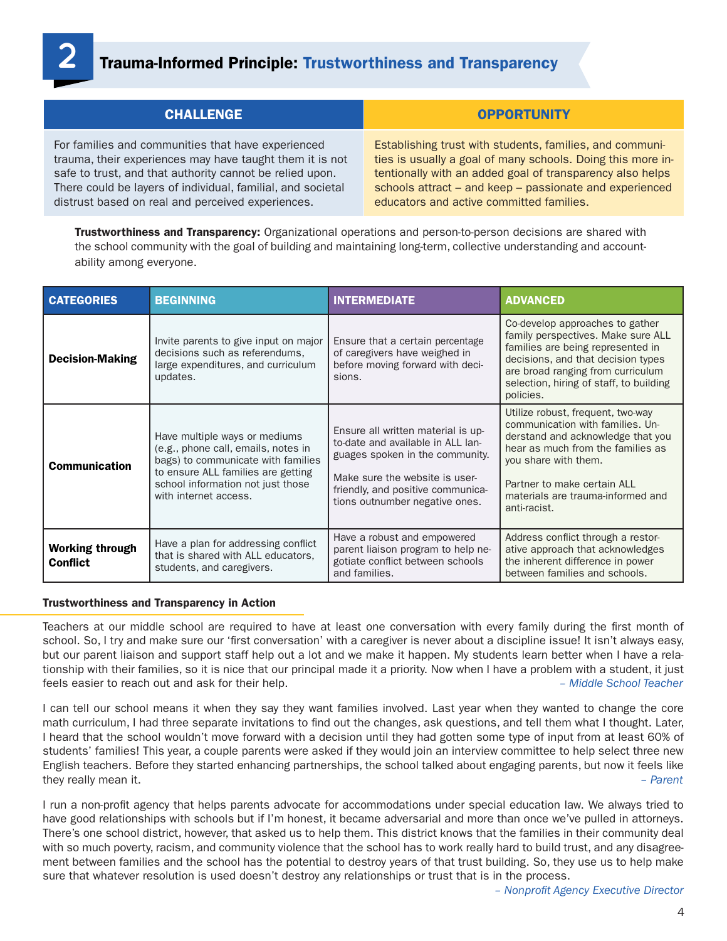

# **2** Trauma-Informed Principle: Trustworthiness and Transparency

| <b>CHALLENGE</b>                                            | <b>OPPORTUNITY</b>                                          |
|-------------------------------------------------------------|-------------------------------------------------------------|
| For families and communities that have experienced          | Establishing trust with students, families, and communi-    |
| trauma, their experiences may have taught them it is not    | ties is usually a goal of many schools. Doing this more in- |
| safe to trust, and that authority cannot be relied upon.    | tentionally with an added goal of transparency also helps   |
| There could be layers of individual, familial, and societal | schools attract - and keep - passionate and experienced     |
| distrust based on real and perceived experiences.           | educators and active committed families.                    |

**Trustworthiness and Transparency:** Organizational operations and person-to-person decisions are shared with the school community with the goal of building and maintaining long-term, collective understanding and accountability among everyone.

| <b>CATEGORIES</b>                         | <b>BEGINNING</b>                                                                                                                                                                                               | <b>INTERMEDIATE</b>                                                                                                                                                                                                 | <b>ADVANCED</b>                                                                                                                                                                                                                                             |
|-------------------------------------------|----------------------------------------------------------------------------------------------------------------------------------------------------------------------------------------------------------------|---------------------------------------------------------------------------------------------------------------------------------------------------------------------------------------------------------------------|-------------------------------------------------------------------------------------------------------------------------------------------------------------------------------------------------------------------------------------------------------------|
| <b>Decision-Making</b>                    | Invite parents to give input on major<br>decisions such as referendums,<br>large expenditures, and curriculum<br>updates.                                                                                      | Ensure that a certain percentage<br>of caregivers have weighed in<br>before moving forward with deci-<br>sions.                                                                                                     | Co-develop approaches to gather<br>family perspectives. Make sure ALL<br>families are being represented in<br>decisions, and that decision types<br>are broad ranging from curriculum<br>selection, hiring of staff, to building<br>policies.               |
| <b>Communication</b>                      | Have multiple ways or mediums<br>(e.g., phone call, emails, notes in<br>bags) to communicate with families<br>to ensure ALL families are getting<br>school information not just those<br>with internet access. | Ensure all written material is up-<br>to-date and available in ALL lan-<br>guages spoken in the community.<br>Make sure the website is user-<br>friendly, and positive communica-<br>tions outnumber negative ones. | Utilize robust, frequent, two-way<br>communication with families. Un-<br>derstand and acknowledge that you<br>hear as much from the families as<br>you share with them.<br>Partner to make certain ALL<br>materials are trauma-informed and<br>anti-racist. |
| <b>Working through</b><br><b>Conflict</b> | Have a plan for addressing conflict<br>that is shared with ALL educators,<br>students, and caregivers.                                                                                                         | Have a robust and empowered<br>parent liaison program to help ne-<br>gotiate conflict between schools<br>and families.                                                                                              | Address conflict through a restor-<br>ative approach that acknowledges<br>the inherent difference in power<br>between families and schools.                                                                                                                 |

#### Trustworthiness and Transparency in Action

Teachers at our middle school are required to have at least one conversation with every family during the first month of school. So, I try and make sure our 'first conversation' with a caregiver is never about a discipline issue! It isn't always easy, but our parent liaison and support staff help out a lot and we make it happen. My students learn better when I have a relationship with their families, so it is nice that our principal made it a priority. Now when I have a problem with a student, it just feels easier to reach out and ask for their help. *– Middle School Teacher*

I can tell our school means it when they say they want families involved. Last year when they wanted to change the core math curriculum, I had three separate invitations to find out the changes, ask questions, and tell them what I thought. Later, I heard that the school wouldn't move forward with a decision until they had gotten some type of input from at least 60% of students' families! This year, a couple parents were asked if they would join an interview committee to help select three new English teachers. Before they started enhancing partnerships, the school talked about engaging parents, but now it feels like they really mean it. *– Parent*

I run a non-profit agency that helps parents advocate for accommodations under special education law. We always tried to have good relationships with schools but if I'm honest, it became adversarial and more than once we've pulled in attorneys. There's one school district, however, that asked us to help them. This district knows that the families in their community deal with so much poverty, racism, and community violence that the school has to work really hard to build trust, and any disagreement between families and the school has the potential to destroy years of that trust building. So, they use us to help make sure that whatever resolution is used doesn't destroy any relationships or trust that is in the process.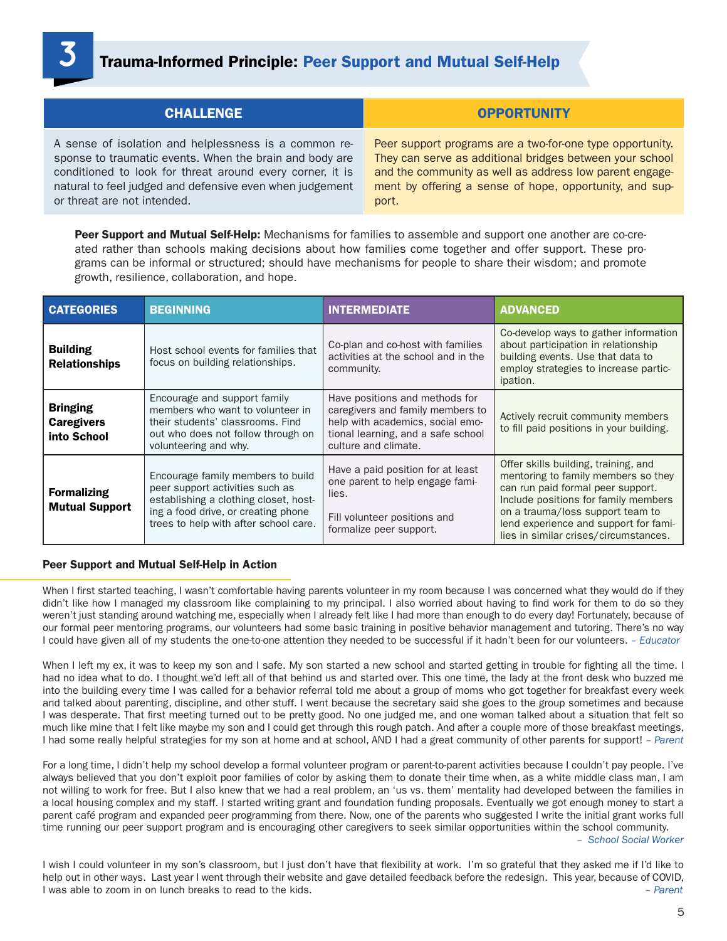# **3** Trauma-Informed Principle: Peer Support and Mutual Self-Help

| <b>CHALLENGE</b>                                          | <b>OPPORTUNITY</b>                                        |
|-----------------------------------------------------------|-----------------------------------------------------------|
| A sense of isolation and helplessness is a common re-     | Peer support programs are a two-for-one type opportunity. |
| sponse to traumatic events. When the brain and body are   | They can serve as additional bridges between your school  |
| conditioned to look for threat around every corner, it is | and the community as well as address low parent engage-   |
| natural to feel judged and defensive even when judgement  | ment by offering a sense of hope, opportunity, and sup-   |
| or threat are not intended.                               | port.                                                     |

Peer Support and Mutual Self-Help: Mechanisms for families to assemble and support one another are co-created rather than schools making decisions about how families come together and offer support. These programs can be informal or structured; should have mechanisms for people to share their wisdom; and promote growth, resilience, collaboration, and hope.

| <b>CATEGORIES</b>                                   | <b>BEGINNING</b>                                                                                                                                                                              | <b>INTERMEDIATE</b>                                                                                                                                                  | <b>ADVANCED</b>                                                                                                                                                                                                                                                                |
|-----------------------------------------------------|-----------------------------------------------------------------------------------------------------------------------------------------------------------------------------------------------|----------------------------------------------------------------------------------------------------------------------------------------------------------------------|--------------------------------------------------------------------------------------------------------------------------------------------------------------------------------------------------------------------------------------------------------------------------------|
| <b>Building</b><br><b>Relationships</b>             | Host school events for families that<br>focus on building relationships.                                                                                                                      | Co-plan and co-host with families<br>activities at the school and in the<br>community.                                                                               | Co-develop ways to gather information<br>about participation in relationship<br>building events. Use that data to<br>employ strategies to increase partic-<br>ipation.                                                                                                         |
| <b>Bringing</b><br><b>Caregivers</b><br>into School | Encourage and support family<br>members who want to volunteer in<br>their students' classrooms. Find<br>out who does not follow through on<br>volunteering and why.                           | Have positions and methods for<br>caregivers and family members to<br>help with academics, social emo-<br>tional learning, and a safe school<br>culture and climate. | Actively recruit community members<br>to fill paid positions in your building.                                                                                                                                                                                                 |
| <b>Formalizing</b><br><b>Mutual Support</b>         | Encourage family members to build<br>peer support activities such as<br>establishing a clothing closet, host-<br>ing a food drive, or creating phone<br>trees to help with after school care. | Have a paid position for at least<br>one parent to help engage fami-<br>lies.<br>Fill volunteer positions and<br>formalize peer support.                             | Offer skills building, training, and<br>mentoring to family members so they<br>can run paid formal peer support.<br>Include positions for family members<br>on a trauma/loss support team to<br>lend experience and support for fami-<br>lies in similar crises/circumstances. |

#### Peer Support and Mutual Self-Help in Action

When I first started teaching, I wasn't comfortable having parents volunteer in my room because I was concerned what they would do if they didn't like how I managed my classroom like complaining to my principal. I also worried about having to find work for them to do so they weren't just standing around watching me, especially when I already felt like I had more than enough to do every day! Fortunately, because of our formal peer mentoring programs, our volunteers had some basic training in positive behavior management and tutoring. There's no way I could have given all of my students the one-to-one attention they needed to be successful if it hadn't been for our volunteers. *– Educator*

When I left my ex, it was to keep my son and I safe. My son started a new school and started getting in trouble for fighting all the time. I had no idea what to do. I thought we'd left all of that behind us and started over. This one time, the lady at the front desk who buzzed me into the building every time I was called for a behavior referral told me about a group of moms who got together for breakfast every week and talked about parenting, discipline, and other stuff. I went because the secretary said she goes to the group sometimes and because I was desperate. That first meeting turned out to be pretty good. No one judged me, and one woman talked about a situation that felt so much like mine that I felt like maybe my son and I could get through this rough patch. And after a couple more of those breakfast meetings, I had some really helpful strategies for my son at home and at school, AND I had a great community of other parents for support! *– Parent*

For a long time, I didn't help my school develop a formal volunteer program or parent-to-parent activities because I couldn't pay people. I've always believed that you don't exploit poor families of color by asking them to donate their time when, as a white middle class man, I am not willing to work for free. But I also knew that we had a real problem, an 'us vs. them' mentality had developed between the families in a local housing complex and my staff. I started writing grant and foundation funding proposals. Eventually we got enough money to start a parent café program and expanded peer programming from there. Now, one of the parents who suggested I write the initial grant works full time running our peer support program and is encouraging other caregivers to seek similar opportunities within the school community.

*– School Social Worker*

I wish I could volunteer in my son's classroom, but I just don't have that flexibility at work. I'm so grateful that they asked me if I'd like to help out in other ways. Last year I went through their website and gave detailed feedback before the redesign. This year, because of COVID, I was able to zoom in on lunch breaks to read to the kids. *– Parent*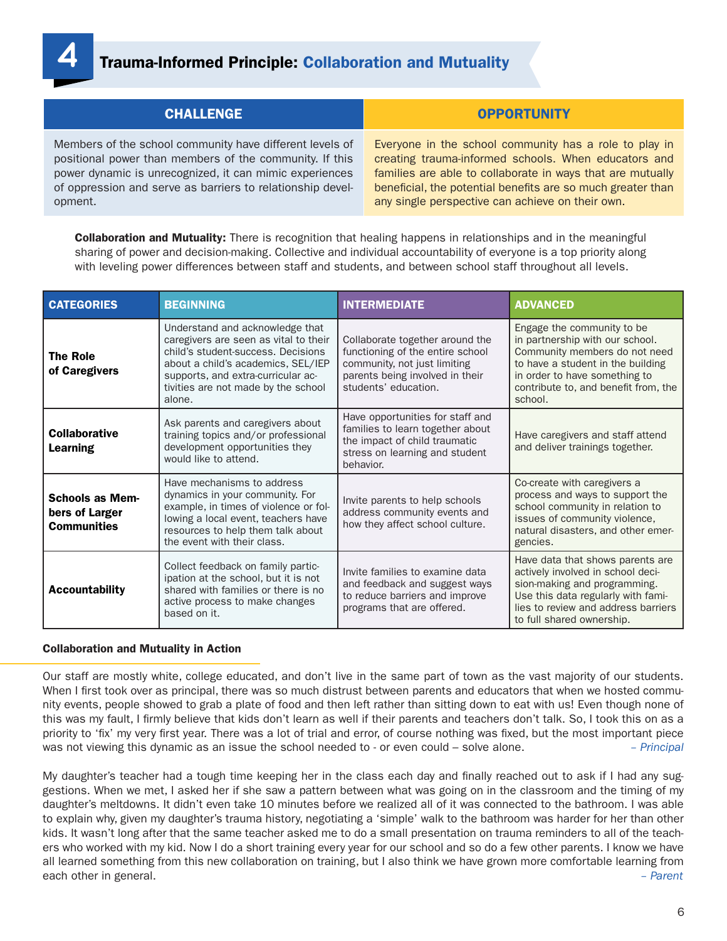

| <b>CHALLENGE</b>                                           | <b>OPPORTUNITY</b>                                          |
|------------------------------------------------------------|-------------------------------------------------------------|
| Members of the school community have different levels of   | Everyone in the school community has a role to play in      |
| positional power than members of the community. If this    | creating trauma-informed schools. When educators and        |
| power dynamic is unrecognized, it can mimic experiences    | families are able to collaborate in ways that are mutually  |
| of oppression and serve as barriers to relationship devel- | beneficial, the potential benefits are so much greater than |
| opment.                                                    | any single perspective can achieve on their own.            |

**Collaboration and Mutuality:** There is recognition that healing happens in relationships and in the meaningful sharing of power and decision-making. Collective and individual accountability of everyone is a top priority along with leveling power differences between staff and students, and between school staff throughout all levels.

| <b>CATEGORIES</b>                                              | <b>BEGINNING</b>                                                                                                                                                                                                                            | <b>INTERMEDIATE</b>                                                                                                                                            | <b>ADVANCED</b>                                                                                                                                                                                                         |
|----------------------------------------------------------------|---------------------------------------------------------------------------------------------------------------------------------------------------------------------------------------------------------------------------------------------|----------------------------------------------------------------------------------------------------------------------------------------------------------------|-------------------------------------------------------------------------------------------------------------------------------------------------------------------------------------------------------------------------|
| <b>The Role</b><br>of Caregivers                               | Understand and acknowledge that<br>caregivers are seen as vital to their<br>child's student-success. Decisions<br>about a child's academics, SEL/IEP<br>supports, and extra-curricular ac-<br>tivities are not made by the school<br>alone. | Collaborate together around the<br>functioning of the entire school<br>community, not just limiting<br>parents being involved in their<br>students' education. | Engage the community to be<br>in partnership with our school.<br>Community members do not need<br>to have a student in the building<br>in order to have something to<br>contribute to, and benefit from, the<br>school. |
| <b>Collaborative</b><br>Learning                               | Ask parents and caregivers about<br>training topics and/or professional<br>development opportunities they<br>would like to attend.                                                                                                          | Have opportunities for staff and<br>families to learn together about<br>the impact of child traumatic<br>stress on learning and student<br>behavior.           | Have caregivers and staff attend<br>and deliver trainings together.                                                                                                                                                     |
| <b>Schools as Mem-</b><br>bers of Larger<br><b>Communities</b> | Have mechanisms to address<br>dynamics in your community. For<br>example, in times of violence or fol-<br>lowing a local event, teachers have<br>resources to help them talk about<br>the event with their class.                           | Invite parents to help schools<br>address community events and<br>how they affect school culture.                                                              | Co-create with caregivers a<br>process and ways to support the<br>school community in relation to<br>issues of community violence,<br>natural disasters, and other emer-<br>gencies.                                    |
| <b>Accountability</b>                                          | Collect feedback on family partic-<br>ipation at the school, but it is not<br>shared with families or there is no<br>active process to make changes<br>based on it.                                                                         | Invite families to examine data<br>and feedback and suggest ways<br>to reduce barriers and improve<br>programs that are offered.                               | Have data that shows parents are<br>actively involved in school deci-<br>sion-making and programming.<br>Use this data regularly with fami-<br>lies to review and address barriers<br>to full shared ownership.         |

## Collaboration and Mutuality in Action

Our staff are mostly white, college educated, and don't live in the same part of town as the vast majority of our students. When I first took over as principal, there was so much distrust between parents and educators that when we hosted community events, people showed to grab a plate of food and then left rather than sitting down to eat with us! Even though none of this was my fault, I firmly believe that kids don't learn as well if their parents and teachers don't talk. So, I took this on as a priority to 'fix' my very first year. There was a lot of trial and error, of course nothing was fixed, but the most important piece was not viewing this dynamic as an issue the school needed to - or even could – solve alone. *– Principal*

My daughter's teacher had a tough time keeping her in the class each day and finally reached out to ask if I had any suggestions. When we met, I asked her if she saw a pattern between what was going on in the classroom and the timing of my daughter's meltdowns. It didn't even take 10 minutes before we realized all of it was connected to the bathroom. I was able to explain why, given my daughter's trauma history, negotiating a 'simple' walk to the bathroom was harder for her than other kids. It wasn't long after that the same teacher asked me to do a small presentation on trauma reminders to all of the teachers who worked with my kid. Now I do a short training every year for our school and so do a few other parents. I know we have all learned something from this new collaboration on training, but I also think we have grown more comfortable learning from each other in general. *– Parent*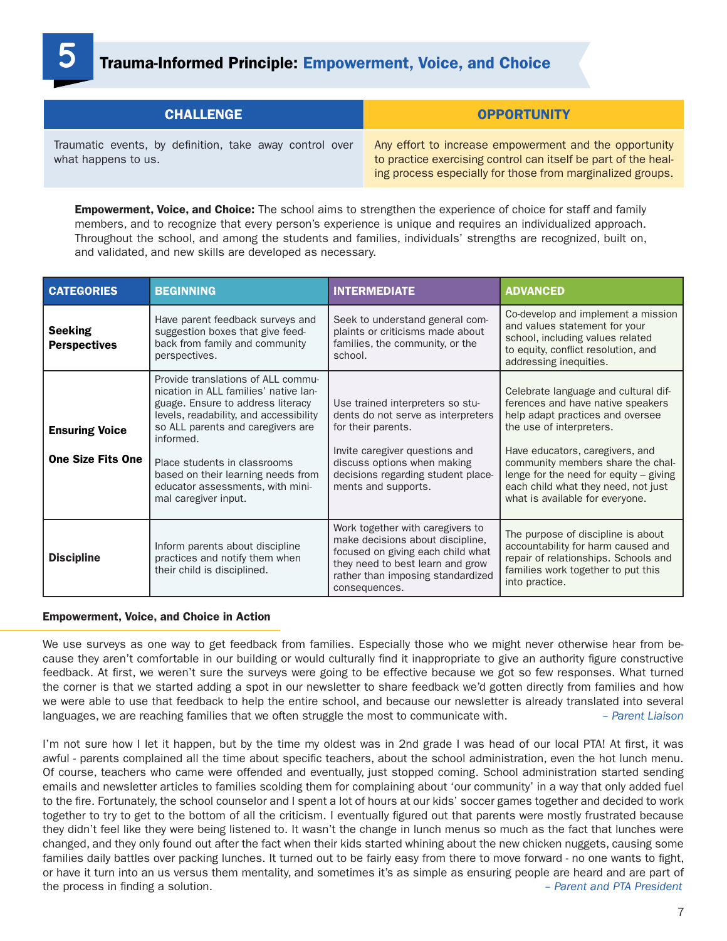## **5** Trauma-Informed Principle: Empowerment, Voice, and Choice

| <b>CHALLENGE</b>                                                               | <b>OPPORTUNITY</b>                                                                                                                                                                     |
|--------------------------------------------------------------------------------|----------------------------------------------------------------------------------------------------------------------------------------------------------------------------------------|
| Traumatic events, by definition, take away control over<br>what happens to us. | Any effort to increase empowerment and the opportunity<br>to practice exercising control can itself be part of the heal-<br>ing process especially for those from marginalized groups. |

**Empowerment, Voice, and Choice:** The school aims to strengthen the experience of choice for staff and family members, and to recognize that every person's experience is unique and requires an individualized approach. Throughout the school, and among the students and families, individuals' strengths are recognized, built on, and validated, and new skills are developed as necessary.

| <b>CATEGORIES</b>                                 | <b>BEGINNING</b>                                                                                                                                                                                                                                                                                                                               | <b>INTERMEDIATE</b>                                                                                                                                                                                                        | <b>ADVANCED</b>                                                                                                                                                                                                                                                                                                                         |
|---------------------------------------------------|------------------------------------------------------------------------------------------------------------------------------------------------------------------------------------------------------------------------------------------------------------------------------------------------------------------------------------------------|----------------------------------------------------------------------------------------------------------------------------------------------------------------------------------------------------------------------------|-----------------------------------------------------------------------------------------------------------------------------------------------------------------------------------------------------------------------------------------------------------------------------------------------------------------------------------------|
| <b>Seeking</b><br><b>Perspectives</b>             | Have parent feedback surveys and<br>suggestion boxes that give feed-<br>back from family and community<br>perspectives.                                                                                                                                                                                                                        | Seek to understand general com-<br>plaints or criticisms made about<br>families, the community, or the<br>school.                                                                                                          | Co-develop and implement a mission<br>and values statement for your<br>school, including values related<br>to equity, conflict resolution, and<br>addressing inequities.                                                                                                                                                                |
| <b>Ensuring Voice</b><br><b>One Size Fits One</b> | Provide translations of ALL commu-<br>nication in ALL families' native lan-<br>guage. Ensure to address literacy<br>levels, readability, and accessibility<br>so ALL parents and caregivers are<br>informed.<br>Place students in classrooms<br>based on their learning needs from<br>educator assessments, with mini-<br>mal caregiver input. | Use trained interpreters so stu-<br>dents do not serve as interpreters<br>for their parents.<br>Invite caregiver questions and<br>discuss options when making<br>decisions regarding student place-<br>ments and supports. | Celebrate language and cultural dif-<br>ferences and have native speakers<br>help adapt practices and oversee<br>the use of interpreters.<br>Have educators, caregivers, and<br>community members share the chal-<br>lenge for the need for equity $-$ giving<br>each child what they need, not just<br>what is available for everyone. |
| <b>Discipline</b>                                 | Inform parents about discipline<br>practices and notify them when<br>their child is disciplined.                                                                                                                                                                                                                                               | Work together with caregivers to<br>make decisions about discipline,<br>focused on giving each child what<br>they need to best learn and grow<br>rather than imposing standardized<br>consequences.                        | The purpose of discipline is about<br>accountability for harm caused and<br>repair of relationships. Schools and<br>families work together to put this<br>into practice.                                                                                                                                                                |

## Empowerment, Voice, and Choice in Action

We use surveys as one way to get feedback from families. Especially those who we might never otherwise hear from because they aren't comfortable in our building or would culturally find it inappropriate to give an authority figure constructive feedback. At first, we weren't sure the surveys were going to be effective because we got so few responses. What turned the corner is that we started adding a spot in our newsletter to share feedback we'd gotten directly from families and how we were able to use that feedback to help the entire school, and because our newsletter is already translated into several languages, we are reaching families that we often struggle the most to communicate with. *– Parent Liaison*

I'm not sure how I let it happen, but by the time my oldest was in 2nd grade I was head of our local PTA! At first, it was awful - parents complained all the time about specific teachers, about the school administration, even the hot lunch menu. Of course, teachers who came were offended and eventually, just stopped coming. School administration started sending emails and newsletter articles to families scolding them for complaining about 'our community' in a way that only added fuel to the fire. Fortunately, the school counselor and I spent a lot of hours at our kids' soccer games together and decided to work together to try to get to the bottom of all the criticism. I eventually figured out that parents were mostly frustrated because they didn't feel like they were being listened to. It wasn't the change in lunch menus so much as the fact that lunches were changed, and they only found out after the fact when their kids started whining about the new chicken nuggets, causing some families daily battles over packing lunches. It turned out to be fairly easy from there to move forward - no one wants to fight, or have it turn into an us versus them mentality, and sometimes it's as simple as ensuring people are heard and are part of the process in finding a solution. *– Parent and PTA President*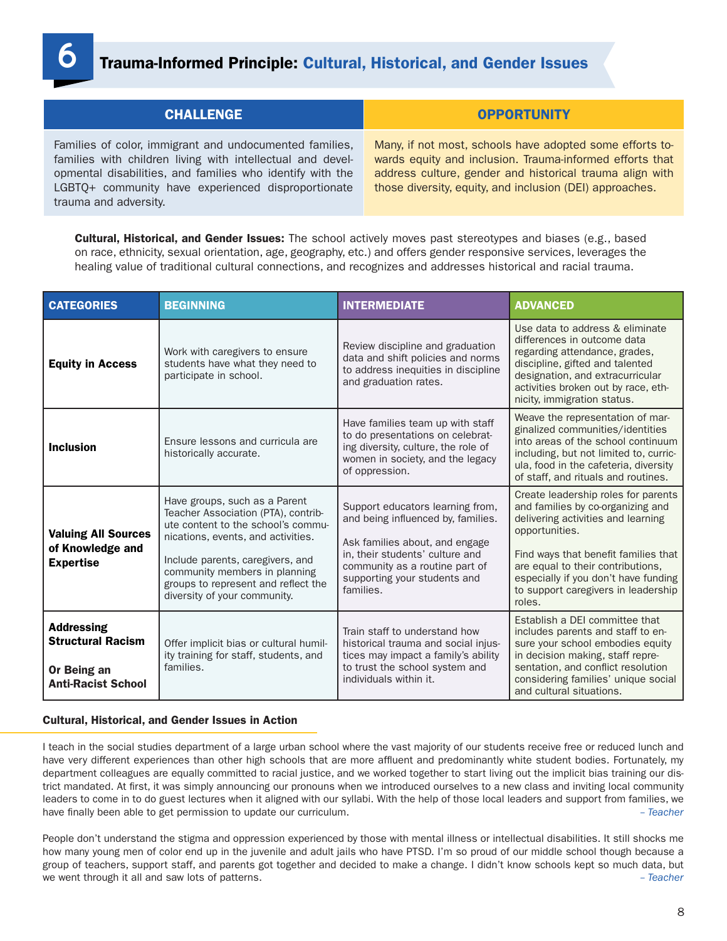## **6** Trauma-Informed Principle: Cultural, Historical, and Gender Issues

| <b>CHALLENGE</b>                                                                                                                                                                                                                                                  | <b>OPPORTUNITY</b>                                                                                                                                                                                                                           |  |
|-------------------------------------------------------------------------------------------------------------------------------------------------------------------------------------------------------------------------------------------------------------------|----------------------------------------------------------------------------------------------------------------------------------------------------------------------------------------------------------------------------------------------|--|
| Families of color, immigrant and undocumented families,<br>families with children living with intellectual and devel-<br>opmental disabilities, and families who identify with the<br>LGBTQ+ community have experienced disproportionate<br>trauma and adversity. | Many, if not most, schools have adopted some efforts to-<br>wards equity and inclusion. Trauma-informed efforts that<br>address culture, gender and historical trauma align with<br>those diversity, equity, and inclusion (DEI) approaches. |  |

**Cultural, Historical, and Gender Issues:** The school actively moves past stereotypes and biases (e.g., based on race, ethnicity, sexual orientation, age, geography, etc.) and offers gender responsive services, leverages the healing value of traditional cultural connections, and recognizes and addresses historical and racial trauma.

| <b>CATEGORIES</b>                                                                         | <b>BEGINNING</b>                                                                                                                                                                                                                                                                             | <b>INTERMEDIATE</b>                                                                                                                                                                                                        | <b>ADVANCED</b>                                                                                                                                                                                                                                                                                        |
|-------------------------------------------------------------------------------------------|----------------------------------------------------------------------------------------------------------------------------------------------------------------------------------------------------------------------------------------------------------------------------------------------|----------------------------------------------------------------------------------------------------------------------------------------------------------------------------------------------------------------------------|--------------------------------------------------------------------------------------------------------------------------------------------------------------------------------------------------------------------------------------------------------------------------------------------------------|
| <b>Equity in Access</b>                                                                   | Work with caregivers to ensure<br>students have what they need to<br>participate in school.                                                                                                                                                                                                  | Review discipline and graduation<br>data and shift policies and norms<br>to address inequities in discipline<br>and graduation rates.                                                                                      | Use data to address & eliminate<br>differences in outcome data<br>regarding attendance, grades,<br>discipline, gifted and talented<br>designation, and extracurricular<br>activities broken out by race, eth-<br>nicity, immigration status.                                                           |
| <b>Inclusion</b>                                                                          | Ensure lessons and curricula are<br>historically accurate.                                                                                                                                                                                                                                   | Have families team up with staff<br>to do presentations on celebrat-<br>ing diversity, culture, the role of<br>women in society, and the legacy<br>of oppression.                                                          | Weave the representation of mar-<br>ginalized communities/identities<br>into areas of the school continuum<br>including, but not limited to, curric-<br>ula, food in the cafeteria, diversity<br>of staff, and rituals and routines.                                                                   |
| <b>Valuing All Sources</b><br>of Knowledge and<br><b>Expertise</b>                        | Have groups, such as a Parent<br>Teacher Association (PTA), contrib-<br>ute content to the school's commu-<br>nications, events, and activities.<br>Include parents, caregivers, and<br>community members in planning<br>groups to represent and reflect the<br>diversity of your community. | Support educators learning from,<br>and being influenced by, families.<br>Ask families about, and engage<br>in, their students' culture and<br>community as a routine part of<br>supporting your students and<br>families. | Create leadership roles for parents<br>and families by co-organizing and<br>delivering activities and learning<br>opportunities.<br>Find ways that benefit families that<br>are equal to their contributions,<br>especially if you don't have funding<br>to support caregivers in leadership<br>roles. |
| <b>Addressing</b><br><b>Structural Racism</b><br>Or Being an<br><b>Anti-Racist School</b> | Offer implicit bias or cultural humil-<br>ity training for staff, students, and<br>families.                                                                                                                                                                                                 | Train staff to understand how<br>historical trauma and social injus-<br>tices may impact a family's ability<br>to trust the school system and<br>individuals within it.                                                    | Establish a DEI committee that<br>includes parents and staff to en-<br>sure your school embodies equity<br>in decision making, staff repre-<br>sentation, and conflict resolution<br>considering families' unique social<br>and cultural situations.                                                   |

#### Cultural, Historical, and Gender Issues in Action

I teach in the social studies department of a large urban school where the vast majority of our students receive free or reduced lunch and have very different experiences than other high schools that are more affluent and predominantly white student bodies. Fortunately, my department colleagues are equally committed to racial justice, and we worked together to start living out the implicit bias training our district mandated. At first, it was simply announcing our pronouns when we introduced ourselves to a new class and inviting local community leaders to come in to do guest lectures when it aligned with our syllabi. With the help of those local leaders and support from families, we have finally been able to get permission to update our curriculum. *– Teacher*

People don't understand the stigma and oppression experienced by those with mental illness or intellectual disabilities. It still shocks me how many young men of color end up in the juvenile and adult jails who have PTSD. I'm so proud of our middle school though because a group of teachers, support staff, and parents got together and decided to make a change. I didn't know schools kept so much data, but we went through it all and saw lots of patterns. *– Teacher*